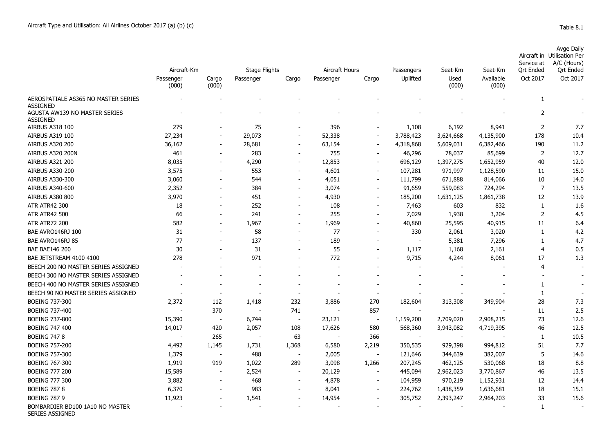|  |  | able |  |  |
|--|--|------|--|--|
|--|--|------|--|--|

|                                                  | Aircraft-Km<br>Cargo<br>Passenger<br>(000)<br>(000) |                          | Stage Flights<br>Passenger<br>Cargo |                          | Aircraft Hours<br>Passenger<br>Cargo |                          | Passengers | Seat-Km<br>Used<br>(000) | Seat-Km<br>Available<br>(000) | Service at<br><b>Qrt Ended</b><br>Oct 2017 | Avge Daily<br>Aircraft in Utilisation Per<br>A/C (Hours)<br><b>Qrt Ended</b> |
|--------------------------------------------------|-----------------------------------------------------|--------------------------|-------------------------------------|--------------------------|--------------------------------------|--------------------------|------------|--------------------------|-------------------------------|--------------------------------------------|------------------------------------------------------------------------------|
|                                                  |                                                     |                          |                                     |                          |                                      |                          | Uplifted   |                          |                               |                                            | Oct 2017                                                                     |
| AEROSPATIALE AS365 NO MASTER SERIES              |                                                     |                          |                                     |                          |                                      |                          |            |                          |                               | $\mathbf{1}$                               |                                                                              |
| <b>ASSIGNED</b>                                  |                                                     |                          |                                     |                          |                                      |                          |            |                          |                               |                                            |                                                                              |
| AGUSTA AW139 NO MASTER SERIES<br><b>ASSIGNED</b> |                                                     |                          |                                     |                          |                                      |                          |            |                          |                               | 2                                          |                                                                              |
| AIRBUS A318 100                                  | 279                                                 | $\blacksquare$           | 75                                  |                          | 396                                  | $\overline{\phantom{a}}$ | 1,108      | 6,192                    | 8,941                         | $\overline{2}$                             | 7.7                                                                          |
| <b>AIRBUS A319 100</b>                           | 27,234                                              | $\overline{\phantom{a}}$ | 29,073                              | $\blacksquare$           | 52,338                               | $\sim$                   | 3,788,423  | 3,624,668                | 4,135,900                     | 178                                        | 10.4                                                                         |
| <b>AIRBUS A320 200</b>                           | 36,162                                              | $\overline{\phantom{a}}$ | 28,681                              | $\overline{\phantom{a}}$ | 63,154                               | $\sim$                   | 4,318,868  | 5,609,031                | 6,382,466                     | 190                                        | 11.2                                                                         |
| AIRBUS A320 200N                                 | 461                                                 | $\sim$                   | 283                                 | $\blacksquare$           | 755                                  | $\blacksquare$           | 46,296     | 78,037                   | 85,699                        | $\overline{2}$                             | 12.7                                                                         |
| AIRBUS A321 200                                  | 8,035                                               | $\overline{\phantom{a}}$ | 4,290                               | $\overline{\phantom{a}}$ | 12,853                               | $\blacksquare$           | 696,129    | 1,397,275                | 1,652,959                     | 40                                         | 12.0                                                                         |
| AIRBUS A330-200                                  | 3,575                                               | $\overline{\phantom{a}}$ | 553                                 | $\overline{\phantom{a}}$ | 4,601                                | $\sim$                   | 107,281    | 971,997                  | 1,128,590                     | 11                                         | 15.0                                                                         |
| AIRBUS A330-300                                  | 3,060                                               | $\blacksquare$           | 544                                 | $\overline{\phantom{a}}$ | 4,051                                | $\sim$                   | 111,799    | 671,888                  | 814,066                       | $10\,$                                     | 14.0                                                                         |
| AIRBUS A340-600                                  | 2,352                                               | $\overline{\phantom{a}}$ | 384                                 | $\blacksquare$           | 3,074                                | $\sim$                   | 91,659     | 559,083                  | 724,294                       | $\overline{7}$                             | 13.5                                                                         |
| <b>AIRBUS A380 800</b>                           | 3,970                                               |                          | 451                                 | $\blacksquare$           | 4,930                                | $\blacksquare$           | 185,200    | 1,631,125                | 1,861,738                     | 12                                         | 13.9                                                                         |
| ATR ATR42 300                                    | 18                                                  |                          | 252                                 |                          | 108                                  |                          | 7,463      | 603                      | 832                           | $\mathbf{1}$                               | 1.6                                                                          |
| <b>ATR ATR42 500</b>                             | 66                                                  | $\blacksquare$           | 241                                 | $\blacksquare$           | 255                                  | $\blacksquare$           | 7,029      | 1,938                    | 3,204                         | $\overline{2}$                             | 4.5                                                                          |
| <b>ATR ATR72 200</b>                             | 582                                                 | $\sim$                   | 1,967                               | $\blacksquare$           | 1,969                                | $\sim$                   | 40,860     | 25,595                   | 40,915                        | 11                                         | 6.4                                                                          |
| BAE AVRO146RJ 100                                | 31                                                  | $\blacksquare$           | 58                                  | $\blacksquare$           | 77                                   | $\sim$                   | 330        | 2,061                    | 3,020                         | $\mathbf{1}$                               | 4.2                                                                          |
| BAE AVRO146RJ 85                                 | 77                                                  | $\sim$                   | 137                                 | $\blacksquare$           | 189                                  | $\overline{\phantom{a}}$ |            | 5,381                    | 7,296                         | 1                                          | 4.7                                                                          |
| <b>BAE BAE146 200</b>                            | 30                                                  |                          | 31                                  | $\overline{\phantom{a}}$ | 55                                   |                          | 1,117      | 1,168                    | 2,161                         | 4                                          | 0.5                                                                          |
| BAE JETSTREAM 4100 4100                          | 278                                                 |                          | 971                                 | $\overline{\phantom{a}}$ | 772                                  | $\overline{\phantom{a}}$ | 9,715      | 4,244                    | 8,061                         | 17                                         | 1.3                                                                          |
| BEECH 200 NO MASTER SERIES ASSIGNED              |                                                     |                          |                                     |                          |                                      |                          |            |                          |                               | 4                                          |                                                                              |
| BEECH 300 NO MASTER SERIES ASSIGNED              |                                                     |                          |                                     |                          |                                      |                          |            |                          |                               |                                            |                                                                              |
| BEECH 400 NO MASTER SERIES ASSIGNED              |                                                     |                          |                                     |                          |                                      |                          |            |                          |                               | 1                                          |                                                                              |
| BEECH 90 NO MASTER SERIES ASSIGNED               |                                                     |                          |                                     |                          |                                      | $\overline{\phantom{a}}$ |            |                          |                               | 1                                          |                                                                              |
| <b>BOEING 737-300</b>                            | 2,372                                               | 112                      | 1,418                               | 232                      | 3,886                                | 270                      | 182,604    | 313,308                  | 349,904                       | 28                                         | 7.3                                                                          |
| <b>BOEING 737-400</b>                            |                                                     | 370                      | <b>.</b>                            | 741                      |                                      | 857                      |            |                          |                               | 11                                         | 2.5                                                                          |
| <b>BOEING 737-800</b>                            | 15,390                                              | $\overline{\phantom{a}}$ | 6,744                               | $\overline{\phantom{a}}$ | 23,121                               | $\blacksquare$           | 1,159,200  | 2,709,020                | 2,908,215                     | 73                                         | 12.6                                                                         |
| <b>BOEING 747 400</b>                            | 14,017                                              | 420                      | 2,057                               | 108                      | 17,626                               | 580                      | 568,360    | 3,943,082                | 4,719,395                     | 46                                         | 12.5                                                                         |
| <b>BOEING 747 8</b>                              |                                                     | 265                      | $\overline{\phantom{a}}$            | 63                       |                                      | 366                      |            | $\sim$                   |                               | 1                                          | 10.5                                                                         |
|                                                  |                                                     |                          |                                     |                          |                                      |                          |            |                          |                               | 51                                         | 7.7                                                                          |
| <b>BOEING 757-200</b>                            | 4,492                                               | 1,145                    | 1,731                               | 1,368                    | 6,580                                | 2,219                    | 350,535    | 929,398                  | 994,812                       |                                            |                                                                              |
| <b>BOEING 757-300</b>                            | 1,379                                               | $\overline{\phantom{a}}$ | 488                                 | $\sim$                   | 2,005                                | $\overline{\phantom{a}}$ | 121,646    | 344,639                  | 382,007                       | 5                                          | 14.6                                                                         |
| <b>BOEING 767-300</b>                            | 1,919                                               | 919                      | 1,022                               | 289                      | 3,098                                | 1,266                    | 207,245    | 462,125                  | 530,068                       | 18                                         | 8.8                                                                          |
| <b>BOEING 777 200</b>                            | 15,589                                              |                          | 2,524                               | $\overline{\phantom{a}}$ | 20,129                               |                          | 445,094    | 2,962,023                | 3,770,867                     | 46                                         | 13.5                                                                         |
| <b>BOEING 777 300</b>                            | 3,882                                               |                          | 468                                 | $\overline{\phantom{a}}$ | 4,878                                |                          | 104,959    | 970,219                  | 1,152,931                     | 12                                         | 14.4                                                                         |

BOEING 787 8 6,370 983 - 8,041 - 224,762 1,438,359 1,636,681 18 15.1

- - - - - - - - - 1 -

BOEING 787 9 11,923 - 1,541 - 14,954 - 305,752 2,393,247 2,964,203 33 15.6 BOMBARDIER BD100 1A10 NO MASTER SERIES ASSIGNED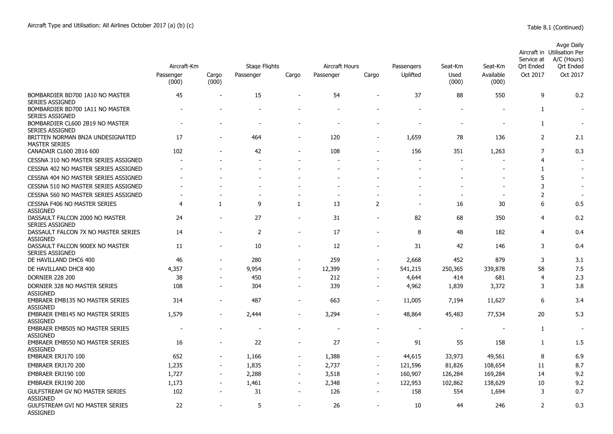|                                                           | Aircraft-Km        |                          | <b>Stage Flights</b> |                          | Aircraft Hours           |                          | Passengers               | Seat-Km        | Seat-Km            | Service at<br>Ort Ended | Avge Daily<br>Aircraft in Utilisation Per<br>A/C (Hours)<br>Ort Ended |
|-----------------------------------------------------------|--------------------|--------------------------|----------------------|--------------------------|--------------------------|--------------------------|--------------------------|----------------|--------------------|-------------------------|-----------------------------------------------------------------------|
|                                                           | Passenger<br>(000) | Cargo<br>(000)           | Passenger            | Cargo                    | Passenger                | Cargo                    | Uplifted                 | Used<br>(000)  | Available<br>(000) | Oct 2017                | Oct 2017                                                              |
| BOMBARDIER BD700 1A10 NO MASTER<br><b>SERIES ASSIGNED</b> | 45                 | $\overline{a}$           | 15                   | $\overline{\phantom{a}}$ | 54                       | $\overline{\phantom{a}}$ | 37                       | 88             | 550                | 9                       | 0.2                                                                   |
| BOMBARDIER BD700 1A11 NO MASTER<br><b>SERIES ASSIGNED</b> |                    |                          |                      |                          |                          |                          |                          |                |                    | $\mathbf{1}$            |                                                                       |
| BOMBARDIER CL600 2B19 NO MASTER<br><b>SERIES ASSIGNED</b> |                    |                          |                      |                          |                          |                          |                          | $\overline{a}$ |                    | $\mathbf{1}$            |                                                                       |
| BRITTEN NORMAN BN2A UNDESIGNATED<br><b>MASTER SERIES</b>  | 17                 |                          | 464                  |                          | 120                      |                          | 1,659                    | 78             | 136                | 2                       | 2.1                                                                   |
| CANADAIR CL600 2B16 600                                   | 102                |                          | 42                   |                          | 108                      |                          | 156                      | 351            | 1,263              | $\overline{7}$          | 0.3                                                                   |
| CESSNA 310 NO MASTER SERIES ASSIGNED                      |                    |                          |                      |                          |                          | $\blacksquare$           |                          | $\blacksquare$ |                    | 4                       |                                                                       |
| CESSNA 402 NO MASTER SERIES ASSIGNED                      |                    |                          |                      |                          |                          |                          |                          |                |                    | $\mathbf{1}$            |                                                                       |
| CESSNA 404 NO MASTER SERIES ASSIGNED                      |                    |                          |                      |                          |                          |                          |                          |                |                    | 5                       |                                                                       |
| CESSNA 510 NO MASTER SERIES ASSIGNED                      |                    |                          |                      |                          |                          |                          |                          |                |                    | 3                       |                                                                       |
| CESSNA 560 NO MASTER SERIES ASSIGNED                      |                    |                          |                      |                          | $\overline{\phantom{a}}$ |                          |                          | $\blacksquare$ |                    | $\overline{2}$          |                                                                       |
| <b>CESSNA F406 NO MASTER SERIES</b><br><b>ASSIGNED</b>    | $\overline{4}$     | $\mathbf{1}$             | 9                    | $\mathbf{1}$             | 13                       | $\overline{2}$           | $\overline{\phantom{a}}$ | 16             | 30                 | 6                       | 0.5                                                                   |
| DASSAULT FALCON 2000 NO MASTER<br><b>SERIES ASSIGNED</b>  | 24                 |                          | 27                   | $\overline{\phantom{a}}$ | 31                       |                          | 82                       | 68             | 350                | $\overline{4}$          | 0.2                                                                   |
| DASSAULT FALCON 7X NO MASTER SERIES<br><b>ASSIGNED</b>    | 14                 |                          | $\overline{2}$       | $\blacksquare$           | 17                       |                          | 8                        | 48             | 182                | 4                       | 0.4                                                                   |
| DASSAULT FALCON 900EX NO MASTER<br><b>SERIES ASSIGNED</b> | 11                 |                          | 10                   | $\blacksquare$           | 12                       | $\sim$                   | 31                       | 42             | 146                | 3                       | 0.4                                                                   |
| DE HAVILLAND DHC6 400                                     | 46                 | ÷                        | 280                  | $\blacksquare$           | 259                      | $\blacksquare$           | 2,668                    | 452            | 879                | 3                       | 3.1                                                                   |
| DE HAVILLAND DHC8 400                                     | 4,357              | $\sim$                   | 9,954                | $\overline{\phantom{a}}$ | 12,399                   | $\overline{\phantom{a}}$ | 541,215                  | 250,365        | 339,878            | 58                      | 7.5                                                                   |
| <b>DORNIER 228 200</b>                                    | 38                 | $\blacksquare$           | 450                  | $\overline{\phantom{a}}$ | 212                      | $\overline{\phantom{a}}$ | 4,644                    | 414            | 681                | $\overline{4}$          | 2.3                                                                   |
| DORNIER 328 NO MASTER SERIES<br><b>ASSIGNED</b>           | 108                |                          | 304                  | $\overline{a}$           | 339                      | $\blacksquare$           | 4,962                    | 1,839          | 3,372              | 3                       | 3.8                                                                   |
| EMBRAER EMB135 NO MASTER SERIES<br><b>ASSIGNED</b>        | 314                | $\overline{\phantom{a}}$ | 487                  | $\overline{\phantom{a}}$ | 663                      | $\overline{\phantom{a}}$ | 11,005                   | 7,194          | 11,627             | 6                       | 3.4                                                                   |
| <b>EMBRAER EMB145 NO MASTER SERIES</b><br><b>ASSIGNED</b> | 1,579              |                          | 2,444                | $\overline{\phantom{a}}$ | 3,294                    |                          | 48,864                   | 45,483         | 77,534             | 20                      | 5.3                                                                   |
| <b>EMBRAER EMB505 NO MASTER SERIES</b><br><b>ASSIGNED</b> | ÷                  |                          |                      |                          |                          |                          | $\overline{\phantom{a}}$ | $\blacksquare$ |                    | 1                       | $\overline{\phantom{a}}$                                              |
| EMBRAER EMB550 NO MASTER SERIES<br><b>ASSIGNED</b>        | 16                 |                          | 22                   | $\overline{\phantom{a}}$ | 27                       | $\overline{\phantom{a}}$ | 91                       | 55             | 158                | $\mathbf{1}$            | 1.5                                                                   |
| EMBRAER ERJ170 100                                        | 652                |                          | 1,166                | $\overline{\phantom{a}}$ | 1,388                    | $\blacksquare$           | 44,615                   | 33,973         | 49,561             | 8                       | 6.9                                                                   |
| EMBRAER ERJ170 200                                        | 1,235              | $\blacksquare$           | 1,835                | $\overline{\phantom{a}}$ | 2,737                    | $\overline{\phantom{a}}$ | 121,596                  | 81,826         | 108,654            | 11                      | 8.7                                                                   |
| EMBRAER ERJ190 100                                        | 1,727              | $\blacksquare$           | 2,288                | $\blacksquare$           | 3,518                    | $\blacksquare$           | 160,907                  | 126,284        | 169,284            | 14                      | 9.2                                                                   |
| EMBRAER ERJ190 200                                        | 1,173              | $\blacksquare$           | 1,461                | $\overline{\phantom{a}}$ | 2,348                    | $\blacksquare$           | 122,953                  | 102,862        | 138,629            | 10                      | 9.2                                                                   |
| GULFSTREAM GV NO MASTER SERIES<br><b>ASSIGNED</b>         | 102                |                          | 31                   | $\overline{\phantom{a}}$ | 126                      |                          | 158                      | 554            | 1,694              | 3                       | 0.7                                                                   |
| <b>GULFSTREAM GVI NO MASTER SERIES</b><br><b>ASSIGNED</b> | 22                 |                          | 5                    |                          | 26                       |                          | 10                       | 44             | 246                | $\overline{2}$          | 0.3                                                                   |